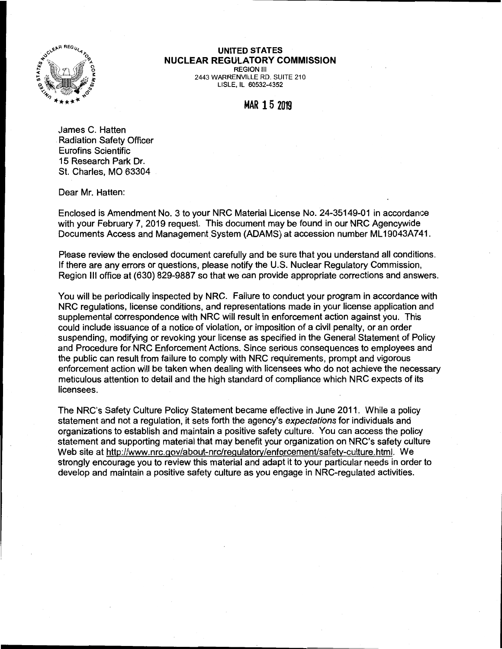

## **UNITED STATES NUCLEAR REGULATORY COMMISSION**

REGION Ill 2443 WARRENVILLE RD. SUITE 210 LISLE, IL 60532-4352

## **MAR 15 2019**

James C. Hatten Radiation Safety Officer Eurofins Scientific 15 Research Park Dr. St. Charles, MO 63304

Dear Mr. Hatten:

Enclosed is Amendment No. 3 to your NRC Material License No. 24-35149-01 in accordance with your February 7, 2019 request. This document may be found in our NRC Agencywide Documents Access and Management System (ADAMS) at accession number ML 19043A741.

Please review the enclosed document carefully and be sure that you understand all conditions. If there are any errors or questions, please notify the U.S. Nuclear Regulatory Commission, Region Ill office at (630) 829-9887 so that we can provide appropriate corrections and answers.

You will be periodically inspected by NRC. Failure to conduct your program in accordance with NRC regulations, license conditions, and representations made in your license application and supplemental correspondence with NRC will result in enforcement action against you. This could include issuance of a notice of violation, or imposition of a civil penalty, or an order suspending, modifying or revoking your license as specified in the General Statement of Policy and Procedure for NRC Enforcement Actions. Since serious consequences to employees and the public can result from failure to comply with NRC requirements, prompt and vigorous enforcement action will be taken when dealing with licensees who do not achieve the necessary meticulous attention to detail and the high standard of compliance which NRC expects of its licensees.

The NRC's Safety Culture Policy Statement became effective in June 2011. While a policy statement and not a regulation, it sets forth the agency's expectations for individuals and organizations to establish and maintain a positive safety culture. You can access the policy statement and supporting material that may benefit your organization on NRC's safety culture Web site at http://www.nrc.gov/about-nrc/regulatory/enforcement/safety-culture. html. We strongly encourage you to review this material and adapt it to your particular needs in order to develop and maintain a positive safety culture as you engage in NRG-regulated activities.